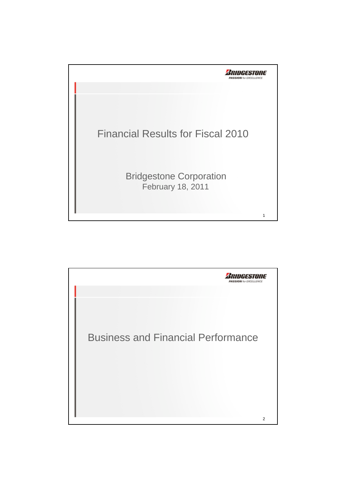

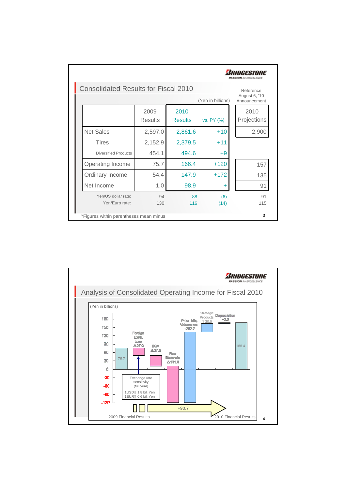|                  |                                             |                        |                        |                   | <b>PASSION</b> for EXCELLENCE              |
|------------------|---------------------------------------------|------------------------|------------------------|-------------------|--------------------------------------------|
|                  | <b>Consolidated Results for Fiscal 2010</b> |                        |                        | (Yen in billions) | Reference<br>August 6, '10<br>Announcement |
|                  |                                             | 2009<br><b>Results</b> | 2010<br><b>Results</b> | vs. PY (%)        | 2010<br>Projections                        |
| <b>Net Sales</b> |                                             | 2,597.0                | 2,861.6                | $+10$             | 2,900                                      |
|                  | Tires                                       | 2,152.9                | 2,379.5                | $+11$             |                                            |
|                  | <b>Diversified Products</b>                 | 454.1                  | 494.6                  | $+9$              |                                            |
|                  | Operating Income                            | 75.7                   | 166.4                  | $+120$            | 157                                        |
|                  | Ordinary Income                             | 54.4                   | 147.9                  | $+172$            | 135                                        |
|                  | Net Income                                  | 1.0                    | 98.9                   | ÷                 | 91                                         |
|                  | Yen/US dollar rate:<br>Yen/Euro rate:       | 94<br>130              | 88<br>116              | (6)<br>(14)       | 91<br>115                                  |
|                  | *Figures within parentheses mean minus      |                        |                        |                   | 3                                          |

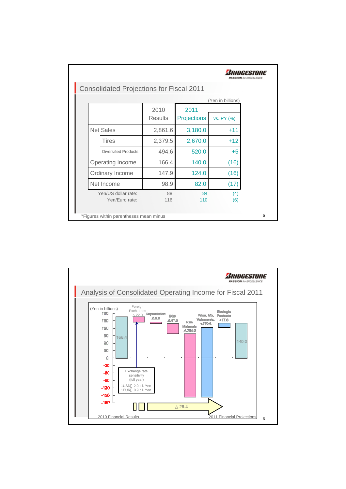| <b>Consolidated Projections for Fiscal 2011</b> |                |                    |                   |  |
|-------------------------------------------------|----------------|--------------------|-------------------|--|
|                                                 |                |                    | (Yen in billions) |  |
|                                                 | 2010           | 2011               |                   |  |
|                                                 | <b>Results</b> | <b>Projections</b> | vs. PY (%)        |  |
| <b>Net Sales</b>                                | 2,861.6        | 3,180.0            | $+11$             |  |
| Tires                                           | 2,379.5        | 2,670.0            | $+12$             |  |
| <b>Diversified Products</b>                     | 494.6          | 520.0              | $+5$              |  |
| Operating Income                                | 166.4          | 140.0              | (16)              |  |
| Ordinary Income                                 | 147.9          | 124.0              | (16)              |  |
| Net Income                                      | 98.9           | 82.0               | (17)              |  |
| Yen/US dollar rate:                             | 88             | 84                 | (4)               |  |
| Yen/Euro rate:                                  | 116            | 110                | (6)               |  |

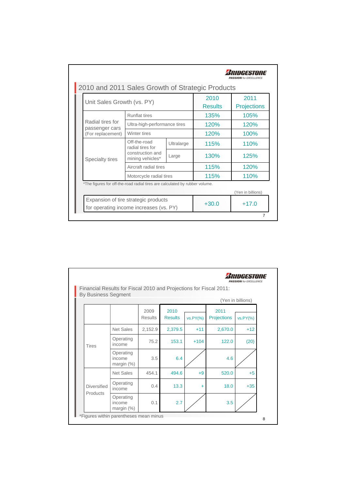| Unit Sales Growth (vs. PY)                                                  |                                      | 2010<br><b>Results</b> | 2011<br><b>Projections</b> |                   |
|-----------------------------------------------------------------------------|--------------------------------------|------------------------|----------------------------|-------------------|
|                                                                             | <b>Runflat tires</b>                 |                        | 135%                       | 105%              |
| Radial tires for                                                            | Ultra-high-performance tires         |                        | 120%                       | 120%              |
| passenger cars<br>(For replacement)                                         | Winter tires                         |                        | 120%                       | 100%              |
|                                                                             | Off-the-road<br>radial tires for     | Ultralarge             | 115%                       | 110%              |
| Specialty tires                                                             | construction and<br>mining vehicles* | Large                  | 130%                       | 125%              |
|                                                                             | Aircraft radial tires                |                        | 115%                       | 120%              |
|                                                                             | Motorcycle radial tires              |                        | 115%                       | 110%              |
| *The figures for off-the-road radial tires are calculated by rubber volume. |                                      |                        |                            |                   |
|                                                                             |                                      |                        |                            | (Yen in billions) |
| for operating income increases (vs. PY)                                     | Expansion of tire strategic products |                        | $+30.0$                    | $+17.0$           |

| <b>By Business Segment</b> | Financial Results for Fiscal 2010 and Projections for Fiscal 2011: |                        |                        |           |                     |                   |
|----------------------------|--------------------------------------------------------------------|------------------------|------------------------|-----------|---------------------|-------------------|
|                            |                                                                    |                        |                        |           |                     | (Yen in billions) |
|                            |                                                                    | 2009<br><b>Results</b> | 2010<br><b>Results</b> | vs.PY(%)  | 2011<br>Projections | vs.PY(%)          |
|                            | <b>Net Sales</b>                                                   | 2,152.9                | 2,379.5                | $+11$     | 2,670.0             | $+12$             |
| <b>Tires</b>               | Operating<br>income                                                | 75.2                   | 153.1                  | $+104$    | 122.0               | (20)              |
|                            | Operating<br>income<br>margin $(%)$                                | 3.5                    | 6.4                    |           | 4.6                 |                   |
|                            | <b>Net Sales</b>                                                   | 454.1                  | 494.6                  | $+9$      | 520.0               | $+5$              |
| <b>Diversified</b>         | Operating<br>income                                                | 0.4                    | 13.3                   | $\ddot{}$ | 18.0                | $+35$             |
| Products                   | Operating<br>income<br>margin $(\%)$                               | 0.1                    | 2.7                    |           | 3.5                 |                   |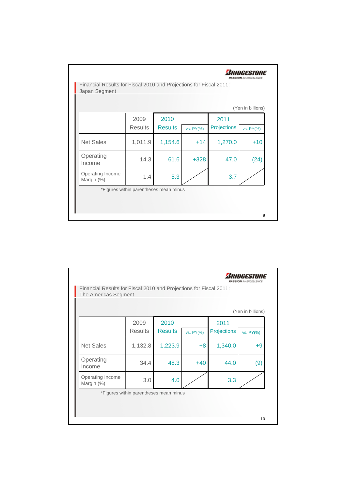|                                |                |                |           |             | (Yen in billions) |
|--------------------------------|----------------|----------------|-----------|-------------|-------------------|
|                                | 2009           | 2010           |           | 2011        |                   |
|                                | <b>Results</b> | <b>Results</b> | vs. PY(%) | Projections | vs. PY(%)         |
| <b>Net Sales</b>               | 1,011.9        | 1,154.6        | $+14$     | 1,270.0     | $+10$             |
| Operating<br>Income            | 14.3           | 61.6           | $+328$    | 47.0        | (24)              |
| Operating Income<br>Margin (%) | 1.4            | 5.3            |           | 3.7         |                   |

|                                |                |                |           |             | (Yen in billions) |
|--------------------------------|----------------|----------------|-----------|-------------|-------------------|
|                                | 2009           | 2010           |           | 2011        |                   |
|                                | <b>Results</b> | <b>Results</b> | vs. PY(%) | Projections | vs. PY(%)         |
| <b>Net Sales</b>               | 1,132.8        | 1,223.9        | $+8$      | 1,340.0     | $+9$              |
| Operating<br>Income            | 34.4           | 48.3           | $+40$     | 44.0        | (9)               |
| Operating Income<br>Margin (%) | 3.0            | 4.0            |           | 3.3         |                   |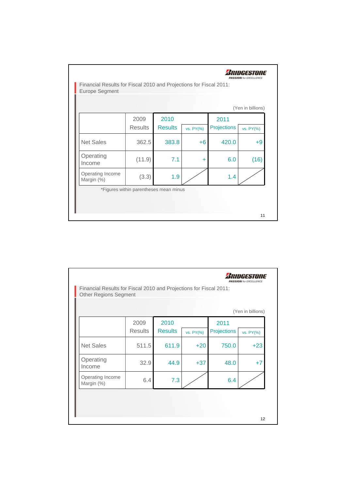|                                |                |                |           |             | (Yen in billions) |
|--------------------------------|----------------|----------------|-----------|-------------|-------------------|
|                                | 2009           | 2010           |           | 2011        |                   |
|                                | <b>Results</b> | <b>Results</b> | vs. PY(%) | Projections | vs. PY(%)         |
| <b>Net Sales</b>               | 362.5          | 383.8          | $+6$      | 420.0       | $+9$              |
| Operating<br>Income            | (11.9)         | 7.1            | ÷         | 6.0         | (16)              |
| Operating Income<br>Margin (%) | (3.3)          | 1.9            |           | 1.4         |                   |

|                                |                |                |           |             | (Yen in billions) |
|--------------------------------|----------------|----------------|-----------|-------------|-------------------|
|                                | 2009           | 2010           |           | 2011        |                   |
|                                | <b>Results</b> | <b>Results</b> | vs. PY(%) | Projections | vs. PY(%)         |
| <b>Net Sales</b>               | 511.5          | 611.9          | $+20$     | 750.0       | $+23$             |
| Operating<br>Income            | 32.9           | 44.9           | $+37$     | 48.0        | $+7$              |
| Operating Income<br>Margin (%) | 6.4            | 7.3            |           | 6.4         |                   |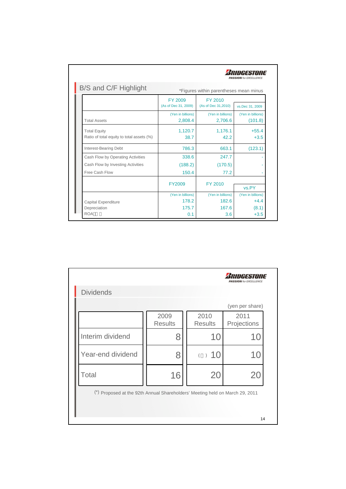| B/S and C/F Highlight                                            |                                        | *Figures within parentheses mean minus |                              |
|------------------------------------------------------------------|----------------------------------------|----------------------------------------|------------------------------|
|                                                                  |                                        |                                        |                              |
|                                                                  | <b>FY 2009</b><br>(As of Dec 31, 2009) | FY 2010<br>(As of Dec 31,2010)         | vs.Dec 31, 2009              |
| <b>Total Assets</b>                                              | (Yen in billions)<br>2,808.4           | (Yen in billions)<br>2,706.6           | (Yen in billions)<br>(101.8) |
| <b>Total Equity</b><br>Ratio of total equity to total assets (%) | 1,120.7<br>38.7                        | 1,176.1<br>42.2                        | $+55.4$<br>$+3.5$            |
| Interest-Bearing Debt                                            | 786.3                                  | 663.1                                  | (123.1)                      |
| Cash Flow by Operating Activities                                | 338.6                                  | 247.7                                  |                              |
| Cash Flow by Investing Activities                                | (188.2)                                | (170.5)                                |                              |
| Free Cash Flow                                                   | 150.4                                  | 77.2                                   |                              |
|                                                                  | <b>FY2009</b>                          | FY 2010                                | vs.PY                        |
|                                                                  | (Yen in billions)                      | (Yen in billions)                      | (Yen in billions)            |
| Capital Expenditure                                              | 178.2                                  | 182.6                                  | $+4.4$                       |
| Depreciation                                                     | 175.7                                  | 167.6                                  | (8.1)                        |
| <b>ROA</b>                                                       | 0.1                                    | 3.6                                    | $+3.5$                       |

|                                                                              |                        |                        | 1H3.4111113<br><b>PASSION</b> for EXCELLENCE |
|------------------------------------------------------------------------------|------------------------|------------------------|----------------------------------------------|
| <b>Dividends</b>                                                             |                        |                        |                                              |
|                                                                              |                        |                        | (yen per share)                              |
|                                                                              | 2009<br><b>Results</b> | 2010<br><b>Results</b> | 2011<br>Projections                          |
| Interim dividend                                                             | 8                      | 10                     | 10                                           |
| Year-end dividend                                                            | 8                      | ( ) 10                 | 10                                           |
| Total                                                                        | 16                     | 20                     | <b>20</b>                                    |
| (*) Proposed at the 92th Annual Shareholders' Meeting held on March 29, 2011 |                        |                        |                                              |
|                                                                              |                        |                        |                                              |
|                                                                              |                        |                        | 14                                           |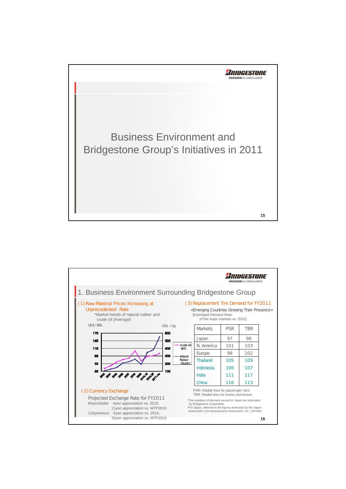

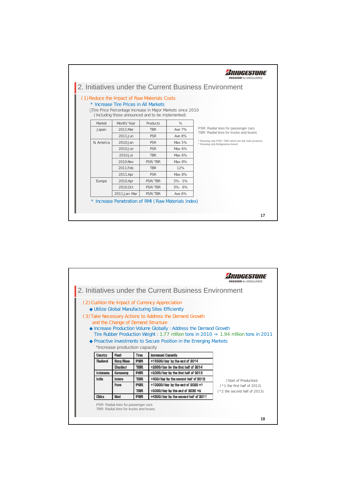

|                 |                                                                                |            |                                                                                                                                                                                                                                                                                                                                                                                          | <b>ASSION</b> IN EXCELLENCE     |
|-----------------|--------------------------------------------------------------------------------|------------|------------------------------------------------------------------------------------------------------------------------------------------------------------------------------------------------------------------------------------------------------------------------------------------------------------------------------------------------------------------------------------------|---------------------------------|
|                 |                                                                                |            | 2. Initiatives under the Current Business Environment                                                                                                                                                                                                                                                                                                                                    |                                 |
|                 | and the Change of Demand Structure<br>*Increase production capacity            |            | (2) Cushion the Impact of Currency Appreciation<br>Utilize Global Manufacturing Sites Efficiently<br>(3) Take Necessary Actions to Address the Demand Growth<br>Increase Production Volume Globally: Address the Demand Growth<br>Tire Rubber Production Weight: 1.77 million tons in 2010 1.94 million tons in 2011<br>Proactive Investments to Secure Position in the Emerging Markets |                                 |
| <b>Country</b>  | Plant                                                                          | Tines      | <b>Increased Capacity</b>                                                                                                                                                                                                                                                                                                                                                                |                                 |
| <b>Thailand</b> | <b>Nang Khae</b>                                                               | <b>PSR</b> | +13500/day by the end of 2014                                                                                                                                                                                                                                                                                                                                                            |                                 |
|                 | Chanburl                                                                       | <b>TBR</b> | +2500/day by the first half of 2014                                                                                                                                                                                                                                                                                                                                                      |                                 |
| Indonesia       | Karawang                                                                       | <b>PSR</b> | +3000/day by the first half of 2012                                                                                                                                                                                                                                                                                                                                                      |                                 |
| India           | Indone                                                                         | <b>TBR</b> | +400/dax by the second half of 2012                                                                                                                                                                                                                                                                                                                                                      | (Start of Production)           |
|                 | Pune                                                                           | <b>PSR</b> | +10000/day by the end of 2020 #1                                                                                                                                                                                                                                                                                                                                                         | $(*1$ the first half of 2013)   |
|                 |                                                                                | <b>TBR</b> | +3000/day by the end of 2020 *1                                                                                                                                                                                                                                                                                                                                                          | $(* 2 the second half of 2013)$ |
| China           | <b>Wusi</b>                                                                    | <b>PSR</b> | +4200/day by the second half of 2011                                                                                                                                                                                                                                                                                                                                                     |                                 |
|                 | PSR: Radial tires for passenger cars<br>TBR: Radial tires for trucks and buses |            |                                                                                                                                                                                                                                                                                                                                                                                          | 18                              |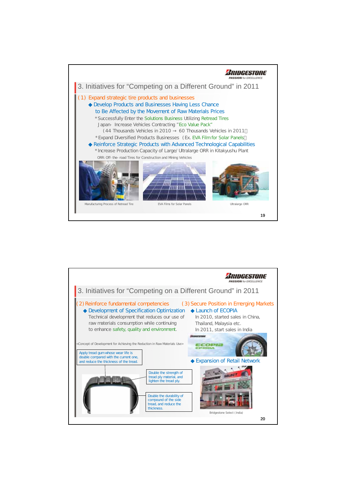